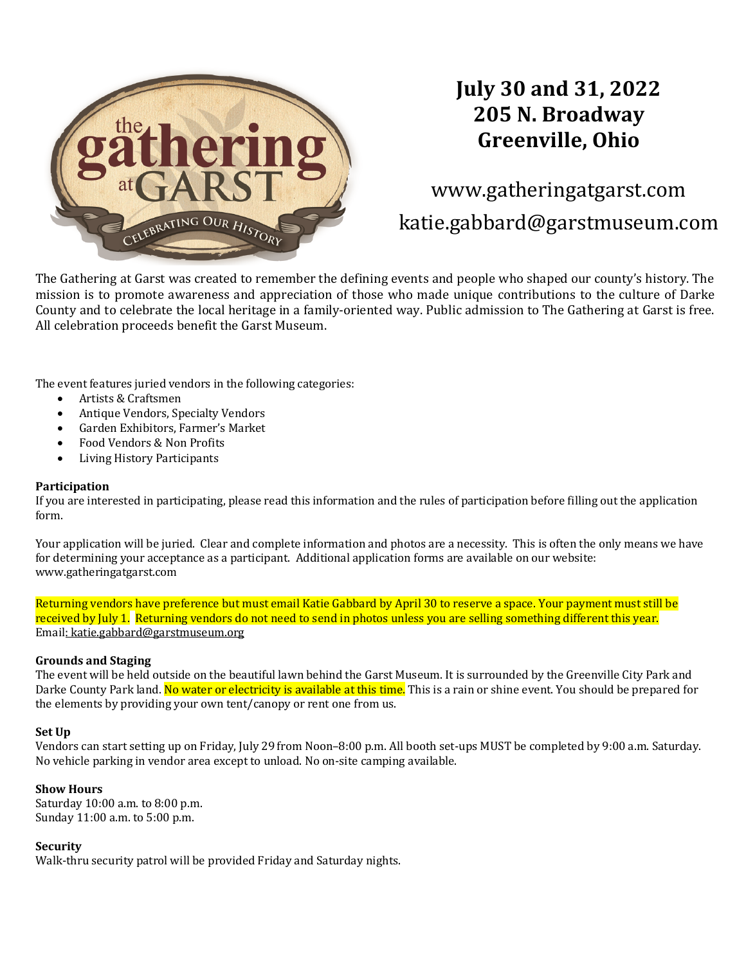

# **July 30 and 31, 2022 205 N. Broadway Greenville, Ohio**

www.gatheringatgarst.com katie.gabbard@garstmuseum.com

The Gathering at Garst was created to remember the defining events and people who shaped our county's history. The mission is to promote awareness and appreciation of those who made unique contributions to the culture of Darke County and to celebrate the local heritage in a family-oriented way. Public admission to The Gathering at Garst is free. All celebration proceeds benefit the Garst Museum.

The event features juried vendors in the following categories:

- Artists & Craftsmen
- Antique Vendors, Specialty Vendors
- Garden Exhibitors, Farmer's Market
- Food Vendors & Non Profits
- Living History Participants

#### **Participation**

If you are interested in participating, please read this information and the rules of participation before filling out the application form. 

Your application will be juried. Clear and complete information and photos are a necessity. This is often the only means we have for determining your acceptance as a participant. Additional application forms are available on our website: www.gatheringatgarst.com

Returning vendors have preference but must email Katie Gabbard by April 30 to reserve a space. Your payment must still be received by July 1. Returning vendors do not need to send in photos unless you are selling something different this year. Email: katie.gabbard@garstmuseum.org

#### **Grounds and Staging**

The event will be held outside on the beautiful lawn behind the Garst Museum. It is surrounded by the Greenville City Park and Darke County Park land. No water or electricity is available at this time. This is a rain or shine event. You should be prepared for the elements by providing your own tent/canopy or rent one from us.

#### **Set Up**

Vendors can start setting up on Friday, July 29 from Noon–8:00 p.m. All booth set-ups MUST be completed by 9:00 a.m. Saturday. No vehicle parking in vendor area except to unload. No on-site camping available.

#### **Show Hours**

Saturday  $10:00$  a.m. to  $8:00$  p.m. Sunday 11:00 a.m. to 5:00 p.m.

#### **Security**

Walk-thru security patrol will be provided Friday and Saturday nights.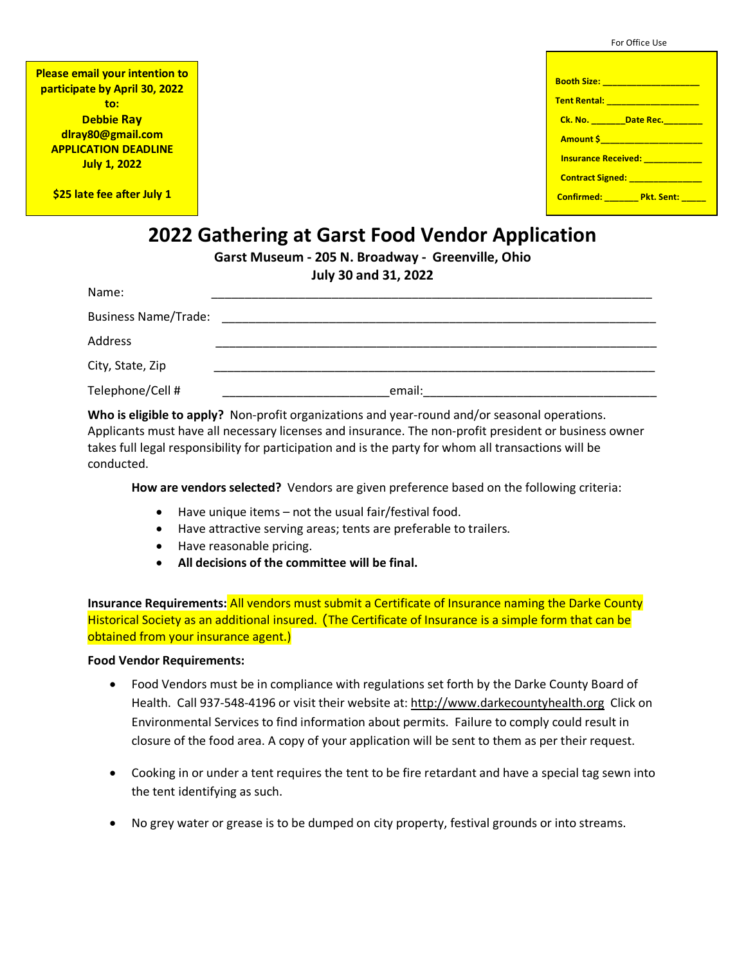|  | For Office Use |  |
|--|----------------|--|
|--|----------------|--|

| <b>Please email your intention to</b> |
|---------------------------------------|
| participate by April 30, 2022         |
| to:                                   |
| <b>Debbie Ray</b>                     |
| dlray80@gmail.com                     |
| <b>APPLICATION DEADLINE</b>           |
| <b>July 1, 2022</b>                   |

**\$25 late fee after July 1**

| Booth Size: __________________       |
|--------------------------------------|
|                                      |
| Ck. No. ________Date Rec. ________   |
|                                      |
| Insurance Received: ___________      |
| Contract Signed: _______________     |
| Confirmed: ________ Pkt. Sent: _____ |
|                                      |

# **2022 Gathering at Garst Food Vendor Application**

**Garst Museum - 205 N. Broadway - Greenville, Ohio**

**July 30 and 31, 2022**

| Name:                       |        |
|-----------------------------|--------|
| <b>Business Name/Trade:</b> |        |
| Address                     |        |
| City, State, Zip            |        |
| Telephone/Cell #            | email: |

**Who is eligible to apply?** Non-profit organizations and year-round and/or seasonal operations. Applicants must have all necessary licenses and insurance. The non-profit president or business owner takes full legal responsibility for participation and is the party for whom all transactions will be conducted.

**How are vendors selected?** Vendors are given preference based on the following criteria:

- Have unique items not the usual fair/festival food.
- Have attractive serving areas; tents are preferable to trailers.
- Have reasonable pricing.
- **All decisions of the committee will be final.**

**Insurance Requirements:** All vendors must submit a Certificate of Insurance naming the Darke County Historical Society as an additional insured. (The Certificate of Insurance is a simple form that can be obtained from your insurance agent.)

#### **Food Vendor Requirements:**

- Food Vendors must be in compliance with regulations set forth by the Darke County Board of Health. Call 937-548-4196 or visit their website at: http://www.darkecountyhealth.org Click on Environmental Services to find information about permits. Failure to comply could result in closure of the food area. A copy of your application will be sent to them as per their request.
- Cooking in or under a tent requires the tent to be fire retardant and have a special tag sewn into the tent identifying as such.
- No grey water or grease is to be dumped on city property, festival grounds or into streams.